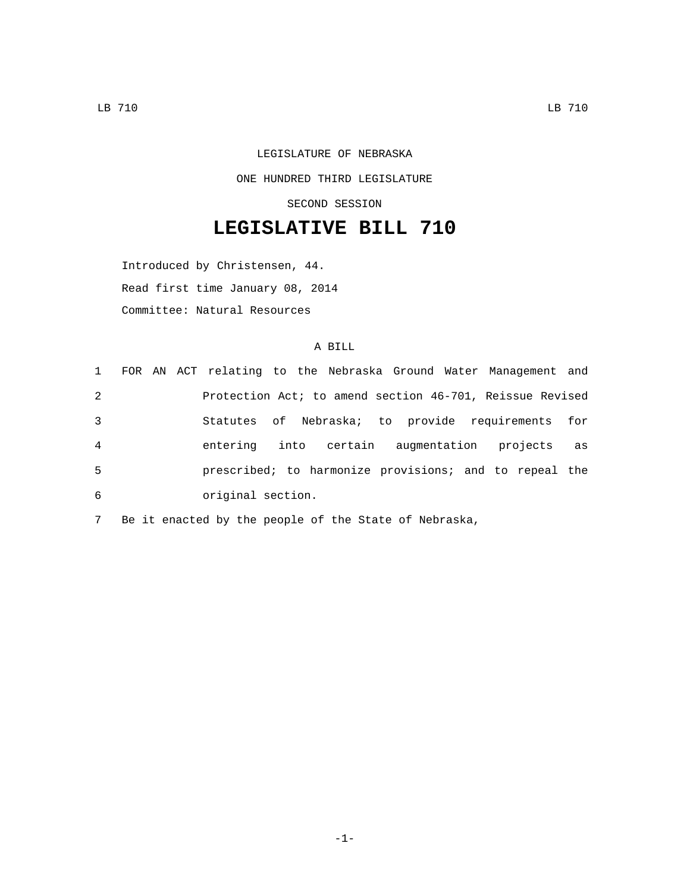LEGISLATURE OF NEBRASKA ONE HUNDRED THIRD LEGISLATURE SECOND SESSION

## **LEGISLATIVE BILL 710**

Introduced by Christensen, 44. Read first time January 08, 2014 Committee: Natural Resources

## A BILL

|                |  | 1 FOR AN ACT relating to the Nebraska Ground Water Management and |  |                                    |  |  |    |
|----------------|--|-------------------------------------------------------------------|--|------------------------------------|--|--|----|
| 2              |  | Protection Act; to amend section 46-701, Reissue Revised          |  |                                    |  |  |    |
| 3              |  | Statutes of Nebraska; to provide requirements for                 |  |                                    |  |  |    |
| $\overline{4}$ |  | entering                                                          |  | into certain augmentation projects |  |  | as |
| 5              |  | prescribed; to harmonize provisions; and to repeal the            |  |                                    |  |  |    |
| 6              |  | original section.                                                 |  |                                    |  |  |    |

7 Be it enacted by the people of the State of Nebraska,